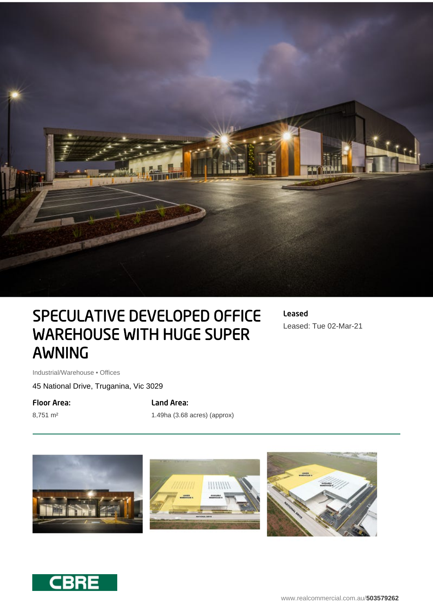

## SPECULATIVE DEVELOPED OFFICE WAREHOUSE WITH HUGE SUPER AWNING

Leased Leased: Tue 02-Mar-21

Industrial/Warehouse • Offices

45 National Drive, Truganina, Vic 3029

Floor Area:

8,751 m²

Land Area:

1.49ha (3.68 acres) (approx)